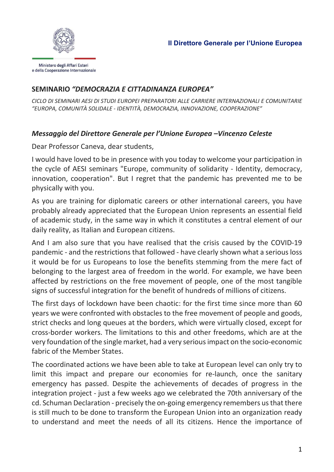

## SEMINARIO "DEMOCRAZIA E CITTADINANZA EUROPEA"

CICLO DI SEMINARI AESI DI STUDI EUROPEI PREPARATORI ALLE CARRIERE INTERNAZIONALI E COMUNITARIE "EUROPA, COMUNITÀ SOLIDALE - IDENTITÀ, DEMOCRAZIA, INNOVAZIONE, COOPERAZIONE"

## Messaggio del Direttore Generale per l'Unione Europea –Vincenzo Celeste

Dear Professor Caneva, dear students,

I would have loved to be in presence with you today to welcome your participation in the cycle of AESI seminars "Europe, community of solidarity - Identity, democracy, innovation, cooperation". But I regret that the pandemic has prevented me to be physically with you.

As you are training for diplomatic careers or other international careers, you have probably already appreciated that the European Union represents an essential field of academic study, in the same way in which it constitutes a central element of our daily reality, as Italian and European citizens.

And I am also sure that you have realised that the crisis caused by the COVID-19 pandemic - and the restrictions that followed - have clearly shown what a serious loss it would be for us Europeans to lose the benefits stemming from the mere fact of belonging to the largest area of freedom in the world. For example, we have been affected by restrictions on the free movement of people, one of the most tangible signs of successful integration for the benefit of hundreds of millions of citizens.

The first days of lockdown have been chaotic: for the first time since more than 60 years we were confronted with obstacles to the free movement of people and goods, strict checks and long queues at the borders, which were virtually closed, except for cross-border workers. The limitations to this and other freedoms, which are at the very foundation of the single market, had a very serious impact on the socio-economic fabric of the Member States.

The coordinated actions we have been able to take at European level can only try to limit this impact and prepare our economies for re-launch, once the sanitary emergency has passed. Despite the achievements of decades of progress in the integration project - just a few weeks ago we celebrated the 70th anniversary of the cd. Schuman Declaration - precisely the on-going emergency remembers us that there is still much to be done to transform the European Union into an organization ready to understand and meet the needs of all its citizens. Hence the importance of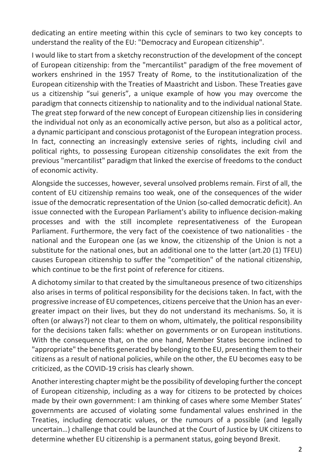dedicating an entire meeting within this cycle of seminars to two key concepts to understand the reality of the EU: "Democracy and European citizenship".

I would like to start from a sketchy reconstruction of the development of the concept of European citizenship: from the "mercantilist" paradigm of the free movement of workers enshrined in the 1957 Treaty of Rome, to the institutionalization of the European citizenship with the Treaties of Maastricht and Lisbon. These Treaties gave us a citizenship "sui generis", a unique example of how you may overcome the paradigm that connects citizenship to nationality and to the individual national State. The great step forward of the new concept of European citizenship lies in considering the individual not only as an economically active person, but also as a political actor, a dynamic participant and conscious protagonist of the European integration process. In fact, connecting an increasingly extensive series of rights, including civil and political rights, to possessing European citizenship consolidates the exit from the previous "mercantilist" paradigm that linked the exercise of freedoms to the conduct of economic activity.

Alongside the successes, however, several unsolved problems remain. First of all, the content of EU citizenship remains too weak, one of the consequences of the wider issue of the democratic representation of the Union (so-called democratic deficit). An issue connected with the European Parliament's ability to influence decision-making processes and with the still incomplete representativeness of the European Parliament. Furthermore, the very fact of the coexistence of two nationalities - the national and the European one (as we know, the citizenship of the Union is not a substitute for the national ones, but an additional one to the latter (art.20 (1) TFEU) causes European citizenship to suffer the "competition" of the national citizenship, which continue to be the first point of reference for citizens.

A dichotomy similar to that created by the simultaneous presence of two citizenships also arises in terms of political responsibility for the decisions taken. In fact, with the progressive increase of EU competences, citizens perceive that the Union has an evergreater impact on their lives, but they do not understand its mechanisms. So, it is often (or always?) not clear to them on whom, ultimately, the political responsibility for the decisions taken falls: whether on governments or on European institutions. With the consequence that, on the one hand, Member States become inclined to "appropriate" the benefits generated by belonging to the EU, presenting them to their citizens as a result of national policies, while on the other, the EU becomes easy to be criticized, as the COVID-19 crisis has clearly shown.

Another interesting chapter might be the possibility of developing further the concept of European citizenship, including as a way for citizens to be protected by choices made by their own government: I am thinking of cases where some Member States' governments are accused of violating some fundamental values enshrined in the Treaties, including democratic values, or the rumours of a possible (and legally uncertain…) challenge that could be launched at the Court of Justice by UK citizens to determine whether EU citizenship is a permanent status, going beyond Brexit.